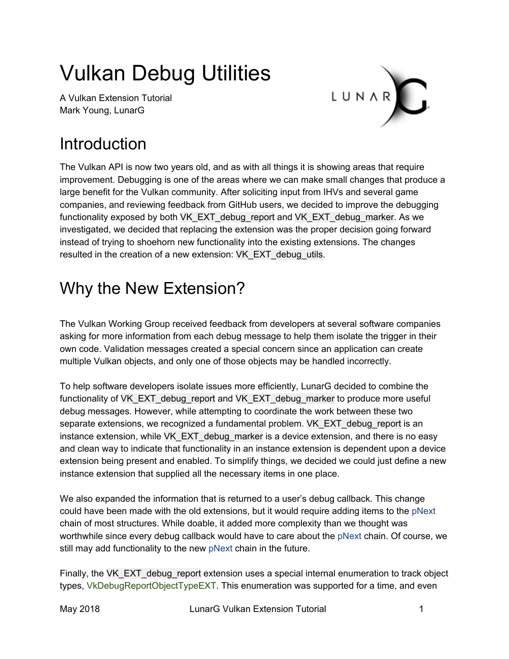# Vulkan Debug Utilities

A Vulkan Extension Tutorial Mark Young, LunarG



## **Introduction**

The Vulkan API is now two years old, and as with all things it is showing areas that require improvement. Debugging is one of the areas where we can make small changes that produce a large benefit for the Vulkan community. After soliciting input from IHVs and several game companies, and reviewing feedback from GitHub users, we decided to improve the debugging functionality exposed by both VK\_EXT\_debug\_report and VK\_EXT\_debug\_marker. As we investigated, we decided that replacing the extension was the proper decision going forward instead of trying to shoehorn new functionality into the existing extensions. The changes resulted in the creation of a new extension: VK\_EXT\_debug\_utils.

## Why the New Extension?

The Vulkan Working Group received feedback from developers at several software companies asking for more information from each debug message to help them isolate the trigger in their own code. Validation messages created a special concern since an application can create multiple Vulkan objects, and only one of those objects may be handled incorrectly.

To help software developers isolate issues more efficiently, LunarG decided to combine the functionality of VK\_EXT\_debug\_report and VK\_EXT\_debug\_marker to produce more useful debug messages. However, while attempting to coordinate the work between these two separate extensions, we recognized a fundamental problem. VK\_EXT\_debug\_report is an instance extension, while VK\_EXT\_debug\_marker is a device extension, and there is no easy and clean way to indicate that functionality in an instance extension is dependent upon a device extension being present and enabled. To simplify things, we decided we could just define a new instance extension that supplied all the necessary items in one place.

We also expanded the information that is returned to a user's debug callback. This change could have been made with the old extensions, but it would require adding items to the pNext chain of most structures. While doable, it added more complexity than we thought was worthwhile since every debug callback would have to care about the pNext chain. Of course, we still may add functionality to the new pNext chain in the future.

Finally, the VK\_EXT\_debug\_report extension uses a special internal enumeration to track object types, VkDebugReportObjectTypeEXT. This enumeration was supported for a time, and even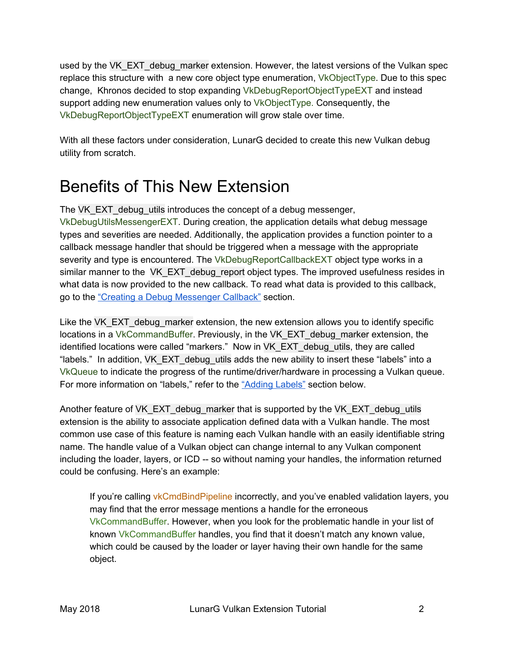used by the VK\_EXT\_debug\_marker extension. However, the latest versions of the Vulkan spec replace this structure with a new core object type enumeration, VkObjectType. Due to this spec change, Khronos decided to stop expanding VkDebugReportObjectTypeEXT and instead support adding new enumeration values only to VkObjectType. Consequently, the VkDebugReportObjectTypeEXT enumeration will grow stale over time.

With all these factors under consideration, LunarG decided to create this new Vulkan debug utility from scratch.

## Benefits of This New Extension

The VK\_EXT\_debug\_utils introduces the concept of a debug messenger, VkDebugUtilsMessengerEXT. During creation, the application details what debug message types and severities are needed. Additionally, the application provides a function pointer to a callback message handler that should be triggered when a message with the appropriate severity and type is encountered. The VkDebugReportCallbackEXT object type works in a similar manner to the VK\_EXT\_debug\_report object types. The improved usefulness resides in what data is now provided to the new callback. To read what data is provided to this callback, go to the "Creating a Debug [Messenger](#page-3-0) Callback" section.

Like the VK\_EXT\_debug\_marker extension, the new extension allows you to identify specific locations in a VkCommandBuffer. Previously, in the VK\_EXT\_debug\_marker extension, the identified locations were called "markers." Now in VK\_EXT\_debug\_utils, they are called "labels." In addition, VK\_EXT\_debug\_utils adds the new ability to insert these "labels" into a VkQueue to indicate the progress of the runtime/driver/hardware in processing a Vulkan queue. For more information on "labels," refer to the ["Adding](#page-11-0) Labels" section below.

Another feature of VK\_EXT\_debug\_marker that is supported by the VK\_EXT\_debug\_utils extension is the ability to associate application defined data with a Vulkan handle. The most common use case of this feature is naming each Vulkan handle with an easily identifiable string name. The handle value of a Vulkan object can change internal to any Vulkan component including the loader, layers, or ICD -- so without naming your handles, the information returned could be confusing. Here's an example:

If you're calling vkCmdBindPipeline incorrectly, and you've enabled validation layers, you may find that the error message mentions a handle for the erroneous VkCommandBuffer. However, when you look for the problematic handle in your list of known VkCommandBuffer handles, you find that it doesn't match any known value, which could be caused by the loader or layer having their own handle for the same object.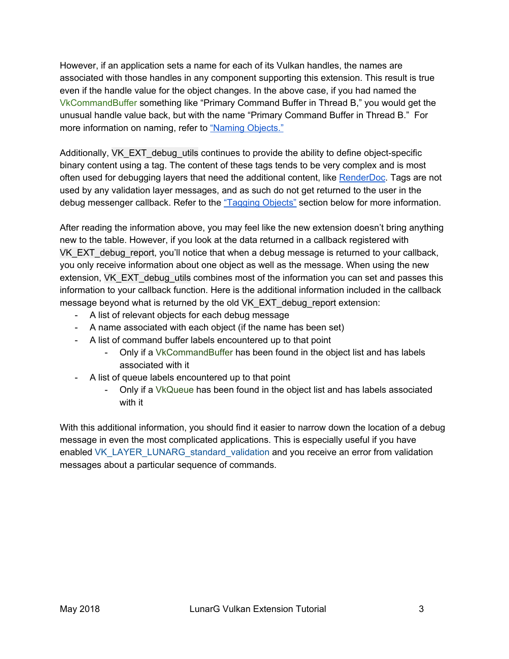However, if an application sets a name for each of its Vulkan handles, the names are associated with those handles in any component supporting this extension. This result is true even if the handle value for the object changes. In the above case, if you had named the VkCommandBuffer something like "Primary Command Buffer in Thread B," you would get the unusual handle value back, but with the name "Primary Command Buffer in Thread B." For more information on naming, refer to "Naming [Objects."](#page-8-0)

Additionally, VK\_EXT\_debug\_utils continues to provide the ability to define object-specific binary content using a tag. The content of these tags tends to be very complex and is most often used for debugging layers that need the additional content, like [RenderDoc.](https://renderdoc.org/) Tags are not used by any validation layer messages, and as such do not get returned to the user in the debug messenger callback. Refer to the ["Tagging](#page-9-0) Objects" section below for more information.

After reading the information above, you may feel like the new extension doesn't bring anything new to the table. However, if you look at the data returned in a callback registered with VK\_EXT\_debug\_report, you'll notice that when a debug message is returned to your callback, you only receive information about one object as well as the message. When using the new extension, VK\_EXT\_debug\_utils combines most of the information you can set and passes this information to your callback function. Here is the additional information included in the callback message beyond what is returned by the old VK\_EXT\_debug\_report extension:

- A list of relevant objects for each debug message
- A name associated with each object (if the name has been set)
- A list of command buffer labels encountered up to that point
	- Only if a VkCommandBuffer has been found in the object list and has labels associated with it
- A list of queue labels encountered up to that point
	- Only if a VkQueue has been found in the object list and has labels associated with it

With this additional information, you should find it easier to narrow down the location of a debug message in even the most complicated applications. This is especially useful if you have enabled VK\_LAYER\_LUNARG\_standard\_validation and you receive an error from validation messages about a particular sequence of commands.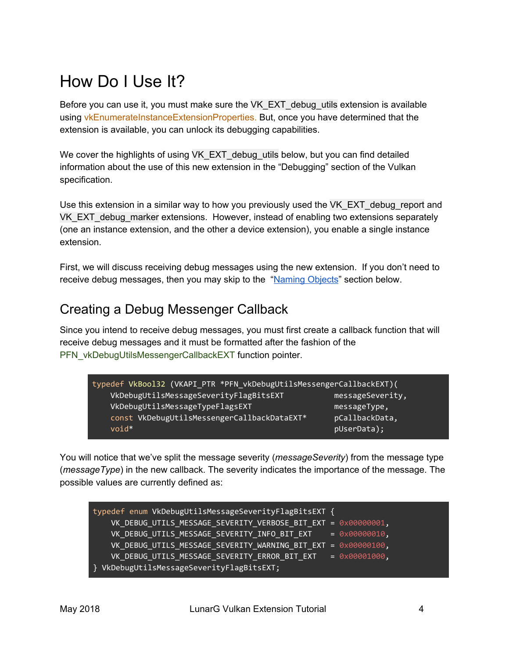## How Do I Use It?

Before you can use it, you must make sure the VK\_EXT\_debug\_utils extension is available using vkEnumerateInstanceExtensionProperties. But, once you have determined that the extension is available, you can unlock its debugging capabilities.

We cover the highlights of using VK\_EXT\_debug\_utils below, but you can find detailed information about the use of this new extension in the "Debugging" section of the Vulkan specification.

Use this extension in a similar way to how you previously used the VK\_EXT\_debug\_report and VK\_EXT\_debug\_marker extensions. However, instead of enabling two extensions separately (one an instance extension, and the other a device extension), you enable a single instance extension.

First, we will discuss receiving debug messages using the new extension. If you don't need to receive debug messages, then you may skip to the "Naming Objects" section below.

### <span id="page-3-0"></span>Creating a Debug Messenger Callback

Since you intend to receive debug messages, you must first create a callback function that will receive debug messages and it must be formatted after the fashion of the PFN\_vkDebugUtilsMessengerCallbackEXT function pointer.

| typedef VkBool32 (VKAPI_PTR *PFN_vkDebugUtilsMessengerCallbackEXT)( |                  |
|---------------------------------------------------------------------|------------------|
| VkDebugUtilsMessageSeverityFlagBitsEXT                              | messageSeverity, |
| VkDebugUtilsMessageTypeFlagsEXT                                     | messageType,     |
| const VkDebugUtilsMessengerCallbackDataEXT*                         | pCallbackData,   |
| $void*$                                                             | pUserData);      |

You will notice that we've split the message severity (*messageSeverity*) from the message type (*messageType*) in the new callback. The severity indicates the importance of the message. The possible values are currently defined as:

| typedef enum VkDebugUtilsMessageSeverityFlagBitsEXT {                 |  |
|-----------------------------------------------------------------------|--|
| VK_DEBUG_UTILS_MESSAGE_SEVERITY_VERBOSE_BIT_EXT = 0x00000001,         |  |
| VK DEBUG UTILS MESSAGE SEVERITY INFO BIT EXT = $0 \times 000000010$ , |  |
| VK_DEBUG_UTILS_MESSAGE_SEVERITY_WARNING_BIT_EXT = 0x00000100,         |  |
| VK_DEBUG_UTILS_MESSAGE_SEVERITY_ERROR_BIT_EXT = 0x00001000,           |  |
| } VkDebugUtilsMessageSeverityFlagBitsEXT;                             |  |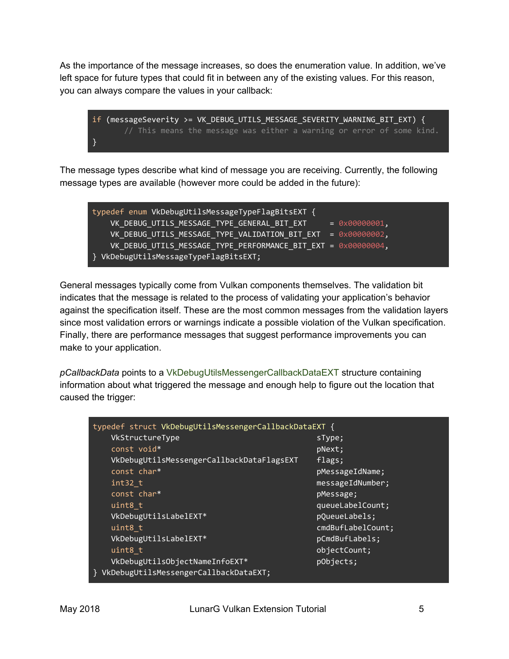As the importance of the message increases, so does the enumeration value. In addition, we've left space for future types that could fit in between any of the existing values. For this reason, you can always compare the values in your callback:

```
if (messageSeverity >= VK_DEBUG_UTILS_MESSAGE_SEVERITY_WARNING_BIT_EXT) {
      // This means the message was either a warning or error of some kind.
}
```
The message types describe what kind of message you are receiving. Currently, the following message types are available (however more could be added in the future):

| typedef enum VkDebugUtilsMessageTypeFlagBitsEXT {                        |                        |
|--------------------------------------------------------------------------|------------------------|
| VK DEBUG UTILS MESSAGE TYPE GENERAL BIT EXT                              | $= 0 \times 000000001$ |
| VK DEBUG UTILS MESSAGE TYPE VALIDATION BIT EXT = $0 \times 00000002$ ,   |                        |
| VK DEBUG UTILS MESSAGE TYPE PERFORMANCE BIT EXT = $0 \times 000000004$ , |                        |
| } VkDebugUtilsMessageTypeFlagBitsEXT;                                    |                        |

General messages typically come from Vulkan components themselves. The validation bit indicates that the message is related to the process of validating your application's behavior against the specification itself. These are the most common messages from the validation layers since most validation errors or warnings indicate a possible violation of the Vulkan specification. Finally, there are performance messages that suggest performance improvements you can make to your application.

*pCallbackData* points to a VkDebugUtilsMessengerCallbackDataEXT structure containing information about what triggered the message and enough help to figure out the location that caused the trigger:

| typedef struct VkDebugUtilsMessengerCallbackDataEXT { |                   |  |
|-------------------------------------------------------|-------------------|--|
| VkStructureType                                       | sType;            |  |
| const void*                                           | pNext;            |  |
| VkDebugUtilsMessengerCallbackDataFlagsEXT             | flags:            |  |
| const char*                                           | pMessageIdName;   |  |
| $int32$ t                                             | messageIdNumber;  |  |
| const char*                                           | pMessage;         |  |
| uint8 t                                               | queueLabelCount;  |  |
| VkDebugUtilsLabelEXT*                                 | pQueueLabels;     |  |
| uint8 t                                               | cmdBufLabelCount; |  |
| VkDebugUtilsLabelEXT*                                 | pCmdBufLabels;    |  |
| uint8 t                                               | objectCount;      |  |
| VkDebugUtilsObjectNameInfoEXT*                        | pObjects;         |  |
| VkDebugUtilsMessengerCallbackDataEXT;                 |                   |  |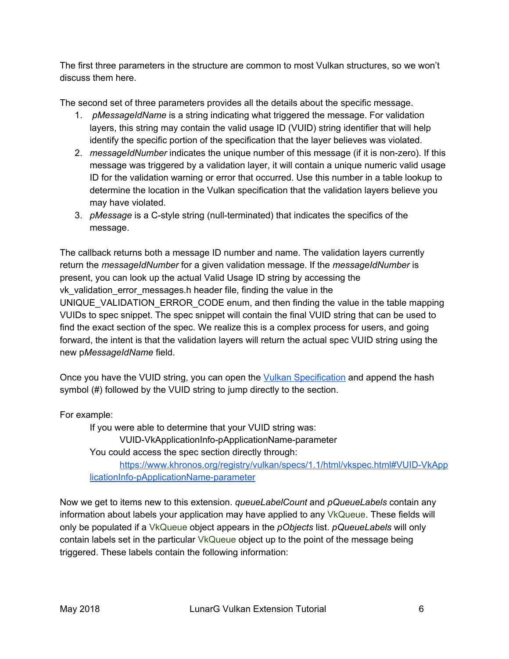The first three parameters in the structure are common to most Vulkan structures, so we won't discuss them here.

The second set of three parameters provides all the details about the specific message.

- 1. *pMessageIdName* is a string indicating what triggered the message. For validation layers, this string may contain the valid usage ID (VUID) string identifier that will help identify the specific portion of the specification that the layer believes was violated.
- 2. *messageIdNumber* indicates the unique number of this message (if it is non-zero). If this message was triggered by a validation layer, it will contain a unique numeric valid usage ID for the validation warning or error that occurred. Use this number in a table lookup to determine the location in the Vulkan specification that the validation layers believe you may have violated.
- 3. *pMessage* is a C-style string (null-terminated) that indicates the specifics of the message.

The callback returns both a message ID number and name. The validation layers currently return the *messageIdNumber* for a given validation message. If the *messageIdNumber* is present, you can look up the actual Valid Usage ID string by accessing the vk validation error messages.h header file, finding the value in the UNIQUE VALIDATION ERROR CODE enum, and then finding the value in the table mapping VUIDs to spec snippet. The spec snippet will contain the final VUID string that can be used to find the exact section of the spec. We realize this is a complex process for users, and going forward, the intent is that the validation layers will return the actual spec VUID string using the new p*MessageIdName* field.

Once you have the VUID string, you can open the Vulkan [Specification](https://www.khronos.org/registry/vulkan/specs/1.1/html/vkspec.html) and append the hash symbol (#) followed by the VUID string to jump directly to the section.

For example:

If you were able to determine that your VUID string was: VUID-VkApplicationInfo-pApplicationName-parameter You could access the spec section directly through: [https://www.khronos.org/registry/vulkan/specs/1.1/html/vkspec.html#VUID-VkApp](https://www.khronos.org/registry/vulkan/specs/1.1/html/vkspec.html#VUID-VkApplicationInfo-pApplicationName-parameter) [licationInfo-pApplicationName-parameter](https://www.khronos.org/registry/vulkan/specs/1.1/html/vkspec.html#VUID-VkApplicationInfo-pApplicationName-parameter)

Now we get to items new to this extension. *queueLabelCount* and *pQueueLabels* contain any information about labels your application may have applied to any VkQueue. These fields will only be populated if a VkQueue object appears in the *pObjects* list. *pQueueLabels* will only contain labels set in the particular VkQueue object up to the point of the message being triggered. These labels contain the following information: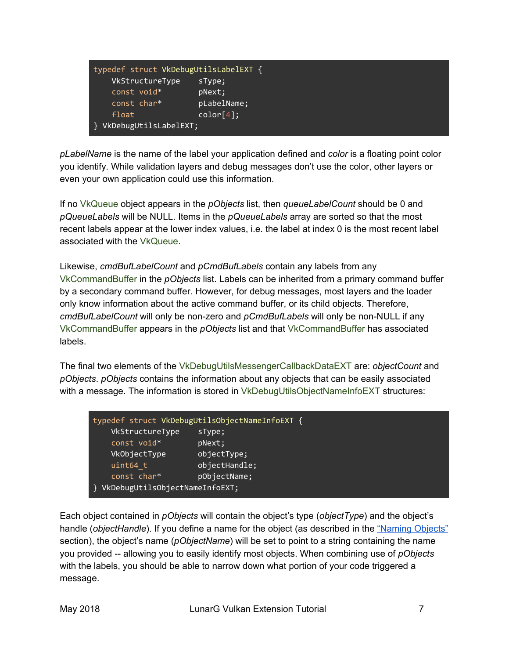| typedef struct VkDebugUtilsLabelEXT { |             |  |
|---------------------------------------|-------------|--|
| VkStructureType                       | 'sType;     |  |
| const void*                           | pNext;      |  |
| const char*                           | pLabelName; |  |
| float                                 | color[4]:   |  |
| VkDebugUtilsLabelEXT;                 |             |  |

*pLabelName* is the name of the label your application defined and *color* is a floating point color you identify. While validation layers and debug messages don't use the color, other layers or even your own application could use this information.

If no VkQueue object appears in the *pObjects* list, then *queueLabelCount* should be 0 and *pQueueLabels* will be NULL. Items in the *pQueueLabels* array are sorted so that the most recent labels appear at the lower index values, i.e. the label at index 0 is the most recent label associated with the VkQueue.

Likewise, *cmdBufLabelCount* and *pCmdBufLabels* contain any labels from any VkCommandBuffer in the *pObjects* list. Labels can be inherited from a primary command buffer by a secondary command buffer. However, for debug messages, most layers and the loader only know information about the active command buffer, or its child objects. Therefore, *cmdBufLabelCount* will only be non-zero and *pCmdBufLabels* will only be non-NULL if any VkCommandBuffer appears in the *pObjects* list and that VkCommandBuffer has associated labels.

The final two elements of the VkDebugUtilsMessengerCallbackDataEXT are: *objectCount* and *pObjects*. *pObjects* contains the information about any objects that can be easily associated with a message. The information is stored in VkDebugUtilsObjectNameInfoEXT structures:

|                                | typedef struct VkDebugUtilsObjectNameInfoEXT { |  |
|--------------------------------|------------------------------------------------|--|
| VkStructureType                | sType;                                         |  |
| const void*                    | pNext;                                         |  |
| VkObjectType                   | objectType;                                    |  |
| uint64 t                       | objectHandle;                                  |  |
| const char*                    | pObjectName;                                   |  |
| VkDebugUtilsObjectNameInfoEXT; |                                                |  |

Each object contained in *pObjects* will contain the object's type (*objectType*) and the object's handle (*objectHandle*). If you define a name for the object (as described in the ["Naming](#page-8-0) Objects" section), the object's name (*pObjectName*) will be set to point to a string containing the name you provided -- allowing you to easily identify most objects. When combining use of *pObjects* with the labels, you should be able to narrow down what portion of your code triggered a message.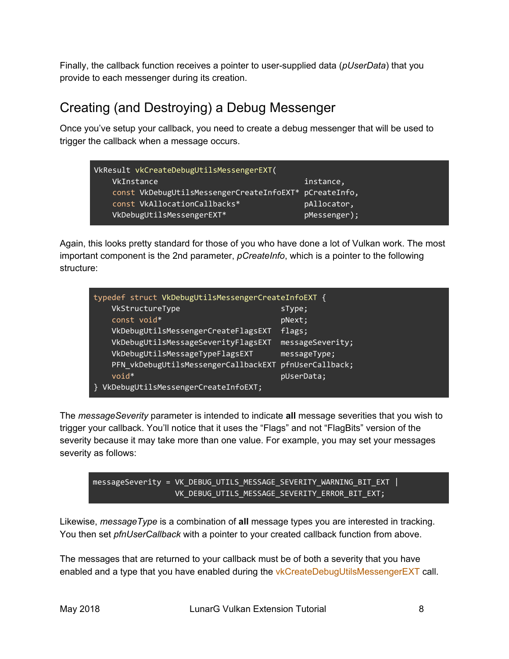Finally, the callback function receives a pointer to user-supplied data (*pUserData*) that you provide to each messenger during its creation.

### <span id="page-7-0"></span>Creating (and Destroying) a Debug Messenger

Once you've setup your callback, you need to create a debug messenger that will be used to trigger the callback when a message occurs.

| VkResult vkCreateDebugUtilsMessengerEXT(               |              |
|--------------------------------------------------------|--------------|
| VkInstance                                             | instance,    |
| const VkDebugUtilsMessengerCreateInfoEXT* pCreateInfo, |              |
| const VkAllocationCallbacks*                           | pAllocator,  |
| VkDebugUtilsMessengerEXT*                              | pMessenger); |

Again, this looks pretty standard for those of you who have done a lot of Vulkan work. The most important component is the 2nd parameter, *pCreateInfo*, which is a pointer to the following structure:

| typedef struct VkDebugUtilsMessengerCreateInfoEXT {   |                  |  |  |
|-------------------------------------------------------|------------------|--|--|
| VkStructureType                                       | sType;           |  |  |
| const void*                                           | pNext;           |  |  |
| VkDebugUtilsMessengerCreateFlagsEXT                   | Flags;           |  |  |
| VkDebugUtilsMessageSeverityFlagsEXT                   | messageSeverity; |  |  |
| VkDebugUtilsMessageTypeFlagsEXT                       | messageType;     |  |  |
| PFN vkDebugUtilsMessengerCallbackEXT pfnUserCallback; |                  |  |  |
| $void*$                                               | pUserData;       |  |  |
| VkDebugUtilsMessengerCreateInfoEXT;                   |                  |  |  |

The *messageSeverity* parameter is intended to indicate **all** message severities that you wish to trigger your callback. You'll notice that it uses the "Flags" and not "FlagBits" version of the severity because it may take more than one value. For example, you may set your messages severity as follows:



Likewise, *messageType* is a combination of **all** message types you are interested in tracking. You then set *pfnUserCallback* with a pointer to your created callback function from above.

The messages that are returned to your callback must be of both a severity that you have enabled and a type that you have enabled during the vkCreateDebugUtilsMessengerEXT call.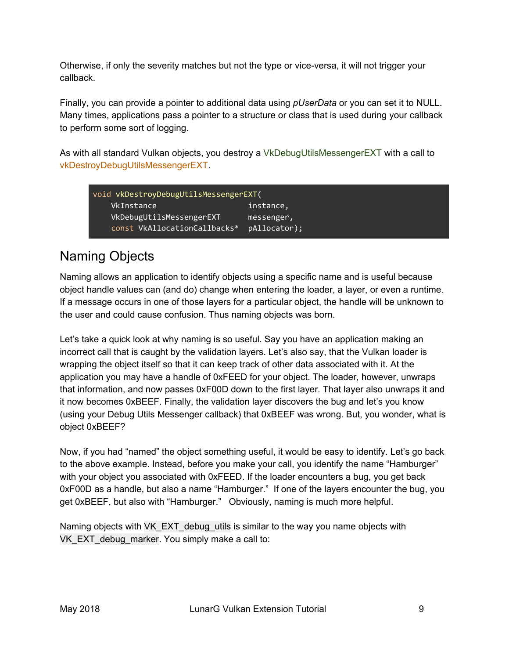Otherwise, if only the severity matches but not the type or vice-versa, it will not trigger your callback.

Finally, you can provide a pointer to additional data using *pUserData* or you can set it to NULL. Many times, applications pass a pointer to a structure or class that is used during your callback to perform some sort of logging.

As with all standard Vulkan objects, you destroy a VkDebugUtilsMessengerEXT with a call to vkDestroyDebugUtilsMessengerEXT.

| void vkDestroyDebugUtilsMessengerEXT( |                              |              |
|---------------------------------------|------------------------------|--------------|
|                                       | VkInstance                   | instance,    |
|                                       | VkDebugUtilsMessengerEXT     | messenger,   |
|                                       | const VkAllocationCallbacks* | pAllocator); |

### <span id="page-8-0"></span>Naming Objects

Naming allows an application to identify objects using a specific name and is useful because object handle values can (and do) change when entering the loader, a layer, or even a runtime. If a message occurs in one of those layers for a particular object, the handle will be unknown to the user and could cause confusion. Thus naming objects was born.

Let's take a quick look at why naming is so useful. Say you have an application making an incorrect call that is caught by the validation layers. Let's also say, that the Vulkan loader is wrapping the object itself so that it can keep track of other data associated with it. At the application you may have a handle of 0xFEED for your object. The loader, however, unwraps that information, and now passes 0xF00D down to the first layer. That layer also unwraps it and it now becomes 0xBEEF. Finally, the validation layer discovers the bug and let's you know (using your Debug Utils Messenger callback) that 0xBEEF was wrong. But, you wonder, what is object 0xBEEF?

Now, if you had "named" the object something useful, it would be easy to identify. Let's go back to the above example. Instead, before you make your call, you identify the name "Hamburger" with your object you associated with 0xFEED. If the loader encounters a bug, you get back 0xF00D as a handle, but also a name "Hamburger." If one of the layers encounter the bug, you get 0xBEEF, but also with "Hamburger." Obviously, naming is much more helpful.

Naming objects with VK\_EXT\_debug\_utils is similar to the way you name objects with VK\_EXT\_debug\_marker. You simply make a call to: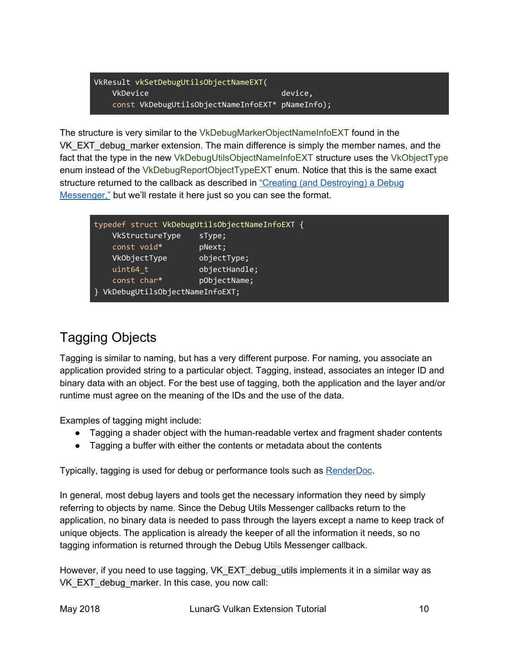VkResult vkSetDebugUtilsObjectNameEXT( VkDevice device, const VkDebugUtilsObjectNameInfoEXT\* pNameInfo);

The structure is very similar to the VkDebugMarkerObjectNameInfoEXT found in the VK\_EXT\_debug\_marker extension. The main difference is simply the member names, and the fact that the type in the new VkDebugUtilsObjectNameInfoEXT structure uses the VkObjectType enum instead of the VkDebugReportObjectTypeEXT enum. Notice that this is the same exact structure returned to the callback as described in "Creating (and [Destroying\)](#page-7-0) a Debug [Messenger,"](#page-7-0) but we'll restate it here just so you can see the format.

|                                | typedef struct VkDebugUtilsObjectNameInfoEXT { |
|--------------------------------|------------------------------------------------|
| VkStructureType                | sType;                                         |
| const void*                    | pNext;                                         |
| VkObjectType                   | objectType;                                    |
| uint64 t                       | objectHandle;                                  |
| const char*                    | pObjectName;                                   |
| VkDebugUtilsObjectNameInfoEXT; |                                                |

### <span id="page-9-0"></span>Tagging Objects

Tagging is similar to naming, but has a very different purpose. For naming, you associate an application provided string to a particular object. Tagging, instead, associates an integer ID and binary data with an object. For the best use of tagging, both the application and the layer and/or runtime must agree on the meaning of the IDs and the use of the data.

Examples of tagging might include:

- Tagging a shader object with the human-readable vertex and fragment shader contents
- Tagging a buffer with either the contents or metadata about the contents

Typically, tagging is used for debug or performance tools such as [RenderDoc.](https://renderdoc.org/)

In general, most debug layers and tools get the necessary information they need by simply referring to objects by name. Since the Debug Utils Messenger callbacks return to the application, no binary data is needed to pass through the layers except a name to keep track of unique objects. The application is already the keeper of all the information it needs, so no tagging information is returned through the Debug Utils Messenger callback.

However, if you need to use tagging, VK EXT debug utils implements it in a similar way as VK\_EXT\_debug\_marker. In this case, you now call: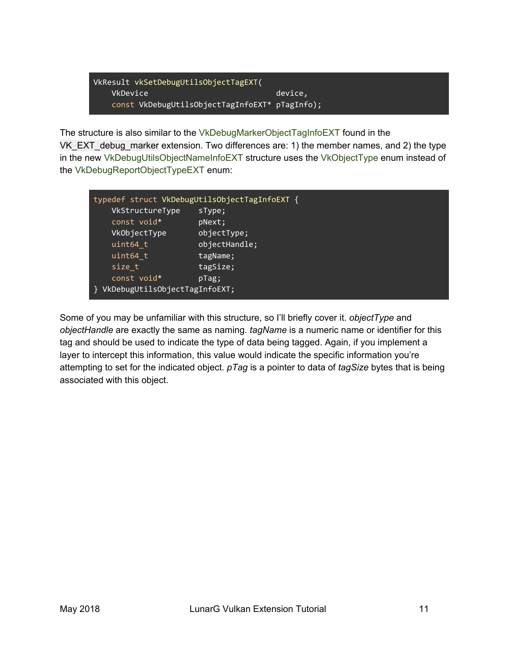VkResult vkSetDebugUtilsObjectTagEXT( VkDevice device, const VkDebugUtilsObjectTagInfoEXT\* pTagInfo);

The structure is also similar to the VkDebugMarkerObjectTagInfoEXT found in the VK\_EXT\_debug\_marker extension. Two differences are: 1) the member names, and 2) the type in the new VkDebugUtilsObjectNameInfoEXT structure uses the VkObjectType enum instead of the VkDebugReportObjectTypeEXT enum:

|                               | typedef struct VkDebugUtilsObjectTagInfoEXT { |
|-------------------------------|-----------------------------------------------|
| VkStructureType               | sType;                                        |
| const void*                   | pNext;                                        |
| VkObjectType                  | objectType;                                   |
| uint64 t                      | objectHandle;                                 |
| uint64 t                      | tagName;                                      |
| size t                        | tagSize;                                      |
| const void*                   | pTag;                                         |
| VkDebugUtilsObjectTagInfoEXT; |                                               |

Some of you may be unfamiliar with this structure, so I'll briefly cover it. *objectType* and *objectHandle* are exactly the same as naming. *tagName* is a numeric name or identifier for this tag and should be used to indicate the type of data being tagged. Again, if you implement a layer to intercept this information, this value would indicate the specific information you're attempting to set for the indicated object. *pTag* is a pointer to data of *tagSize* bytes that is being associated with this object.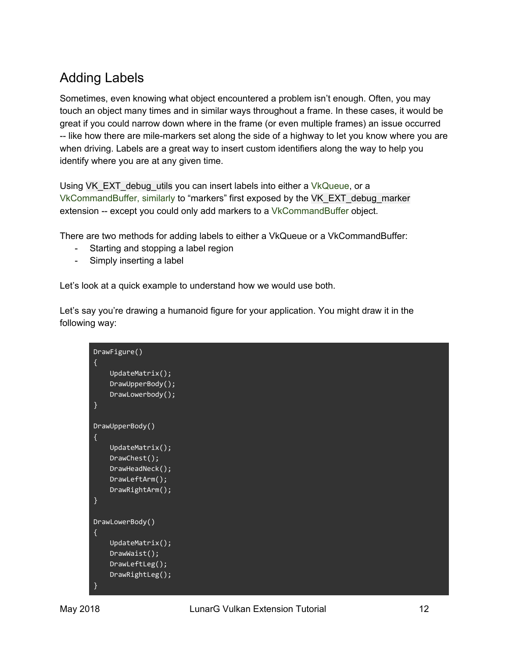### <span id="page-11-0"></span>Adding Labels

Sometimes, even knowing what object encountered a problem isn't enough. Often, you may touch an object many times and in similar ways throughout a frame. In these cases, it would be great if you could narrow down where in the frame (or even multiple frames) an issue occurred -- like how there are mile-markers set along the side of a highway to let you know where you are when driving. Labels are a great way to insert custom identifiers along the way to help you identify where you are at any given time.

Using VK\_EXT\_debug\_utils you can insert labels into either a VkQueue, or a VkCommandBuffer, similarly to "markers" first exposed by the VK\_EXT\_debug\_marker extension -- except you could only add markers to a VkCommandBuffer object.

There are two methods for adding labels to either a VkQueue or a VkCommandBuffer:

- Starting and stopping a label region
- Simply inserting a label

Let's look at a quick example to understand how we would use both.

Let's say you're drawing a humanoid figure for your application. You might draw it in the following way:

```
DrawFigure()
{
     UpdateMatrix();
    DrawUpperBody();
     DrawLowerbody();
}
DrawUpperBody()
{
     UpdateMatrix();
     DrawChest();
     DrawHeadNeck();
     DrawLeftArm();
     DrawRightArm();
}
DrawLowerBody()
{
     UpdateMatrix();
     DrawWaist();
     DrawLeftLeg();
     DrawRightLeg();
}
```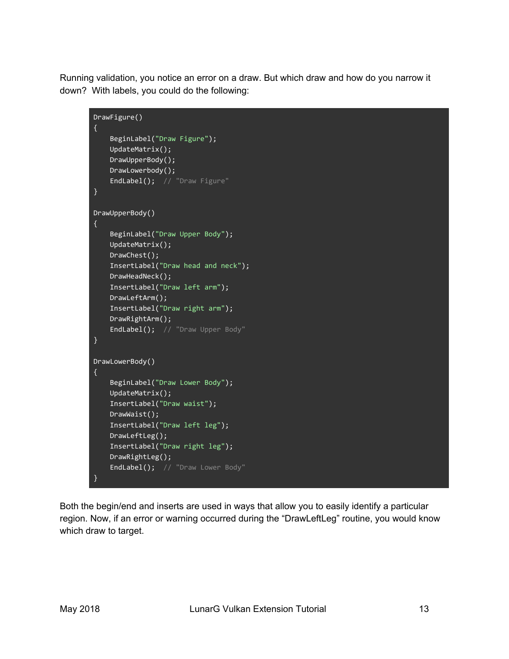Running validation, you notice an error on a draw. But which draw and how do you narrow it down? With labels, you could do the following:

```
DrawFigure()
{
     BeginLabel("Draw Figure");
    UpdateMatrix();
    DrawUpperBody();
    DrawLowerbody();
   EndLabel(); // "Draw Figure"
}
DrawUpperBody()
{
    BeginLabel("Draw Upper Body");
    UpdateMatrix();
   DrawChest();
     InsertLabel("Draw head and neck");
    DrawHeadNeck();
    InsertLabel("Draw left arm");
    DrawLeftArm();
    InsertLabel("Draw right arm");
    DrawRightArm();
    EndLabel(); // "Draw Upper Body"
}
DrawLowerBody()
{
     BeginLabel("Draw Lower Body");
    UpdateMatrix();
    InsertLabel("Draw waist");
    DrawWaist();
    InsertLabel("Draw left leg");
    DrawLeftLeg();
    InsertLabel("Draw right leg");
    DrawRightLeg();
    EndLabel(); // "Draw Lower Body"
}
```
Both the begin/end and inserts are used in ways that allow you to easily identify a particular region. Now, if an error or warning occurred during the "DrawLeftLeg" routine, you would know which draw to target.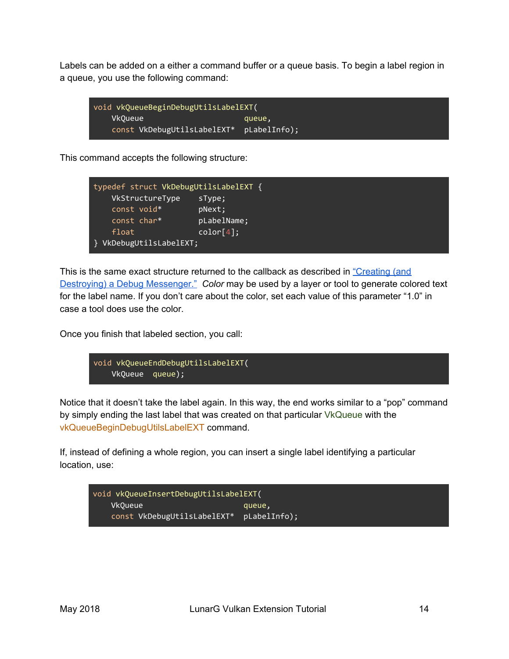Labels can be added on a either a command buffer or a queue basis. To begin a label region in a queue, you use the following command:

```
void vkQueueBeginDebugUtilsLabelEXT(
   VkQueue queue,
   const VkDebugUtilsLabelEXT* pLabelInfo);
```
This command accepts the following structure:

| typedef struct VkDebugUtilsLabelEXT { |             |
|---------------------------------------|-------------|
| VkStructureType                       | sType;      |
| const void*                           | pNext;      |
| const char*                           | pLabelName; |
| float                                 | color[4]:   |
| } VkDebugUtilsLabelEXT;               |             |

This is the same exact structure returned to the callback as described in ["Creating](#page-7-0) (and Destroying) a Debug [Messenger."](#page-7-0) *Color* may be used by a layer or tool to generate colored text for the label name. If you don't care about the color, set each value of this parameter "1.0" in case a tool does use the color.

Once you finish that labeled section, you call:

```
void vkQueueEndDebugUtilsLabelEXT(
   VkQueue queue);
```
Notice that it doesn't take the label again. In this way, the end works similar to a "pop" command by simply ending the last label that was created on that particular VkQueue with the vkQueueBeginDebugUtilsLabelEXT command.

If, instead of defining a whole region, you can insert a single label identifying a particular location, use:

```
void vkQueueInsertDebugUtilsLabelEXT(
   VkQueue queue,
   const VkDebugUtilsLabelEXT* pLabelInfo);
```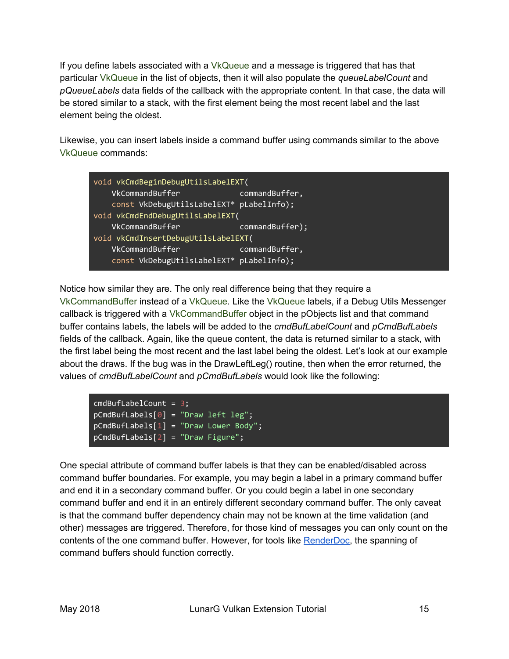If you define labels associated with a VkQueue and a message is triggered that has that particular VkQueue in the list of objects, then it will also populate the *queueLabelCount* and *pQueueLabels* data fields of the callback with the appropriate content. In that case, the data will be stored similar to a stack, with the first element being the most recent label and the last element being the oldest.

Likewise, you can insert labels inside a command buffer using commands similar to the above VkQueue commands:

| void vkCmdBeginDebugUtilsLabelEXT(       |                 |  |  |
|------------------------------------------|-----------------|--|--|
| VkCommandBuffer                          | commandBuffer,  |  |  |
| const VkDebugUtilsLabelEXT* pLabelInfo); |                 |  |  |
| void vkCmdEndDebugUtilsLabelEXT(         |                 |  |  |
| VkCommandBuffer                          | commandBuffer); |  |  |
| void vkCmdInsertDebugUtilsLabelEXT(      |                 |  |  |
| VkCommandBuffer                          | commandBuffer,  |  |  |
| const VkDebugUtilsLabelEXT* pLabelInfo); |                 |  |  |

Notice how similar they are. The only real difference being that they require a VkCommandBuffer instead of a VkQueue. Like the VkQueue labels, if a Debug Utils Messenger callback is triggered with a VkCommandBuffer object in the pObjects list and that command buffer contains labels, the labels will be added to the *cmdBufLabelCount* and *pCmdBufLabels* fields of the callback. Again, like the queue content, the data is returned similar to a stack, with the first label being the most recent and the last label being the oldest. Let's look at our example about the draws. If the bug was in the DrawLeftLeg() routine, then when the error returned, the values of *cmdBufLabelCount* and *pCmdBufLabels* would look like the following:

| $cmdBufferLabelCount = 3;$              |  |  |
|-----------------------------------------|--|--|
| $pCmdBuffLabels[0] = "Draw left leg";$  |  |  |
| $pCmdBufLabels[1] = "Draw Lower Body";$ |  |  |
| $pCmdBufLabels[2] = "Draw Figure";$     |  |  |

One special attribute of command buffer labels is that they can be enabled/disabled across command buffer boundaries. For example, you may begin a label in a primary command buffer and end it in a secondary command buffer. Or you could begin a label in one secondary command buffer and end it in an entirely different secondary command buffer. The only caveat is that the command buffer dependency chain may not be known at the time validation (and other) messages are triggered. Therefore, for those kind of messages you can only count on the contents of the one command buffer. However, for tools like [RenderDoc,](https://renderdoc.org/) the spanning of command buffers should function correctly.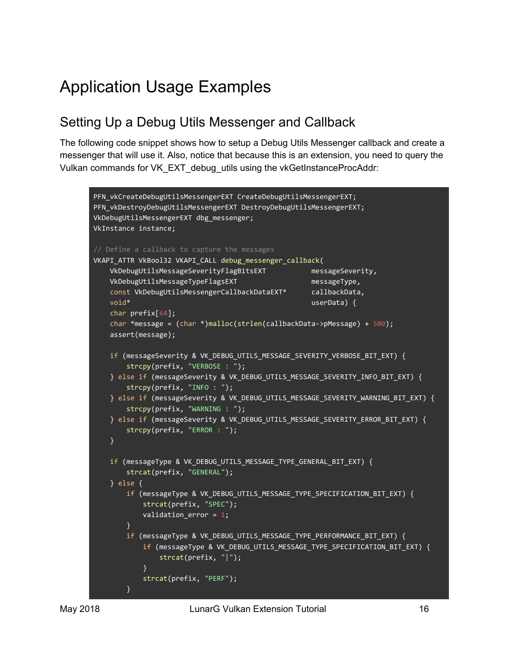## Application Usage Examples

#### Setting Up a Debug Utils Messenger and Callback

The following code snippet shows how to setup a Debug Utils Messenger callback and create a messenger that will use it. Also, notice that because this is an extension, you need to query the Vulkan commands for VK\_EXT\_debug\_utils using the vkGetInstanceProcAddr:

```
PFN_vkCreateDebugUtilsMessengerEXT CreateDebugUtilsMessengerEXT;
PFN_vkDestroyDebugUtilsMessengerEXT DestroyDebugUtilsMessengerEXT;
VkDebugUtilsMessengerEXT dbg_messenger;
VkInstance instance;
// Define a callback to capture the messages
VKAPI_ATTR VkBool32 VKAPI_CALL debug_messenger_callback(
   VkDebugUtilsMessageSeverityFlagBitsEXT messageSeverity,
   VkDebugUtilsMessageTypeFlagsEXT messageType,
   const VkDebugUtilsMessengerCallbackDataEXT* callbackData,
   void* void* userData) {
    char prefix[64];
    char *message = (char *)malloc(strlen(callbackData->pMessage) + 500);
    assert(message);
    if (messageSeverity & VK_DEBUG_UTILS_MESSAGE_SEVERITY_VERBOSE_BIT_EXT) {
        strcpy(prefix, "VERBOSE : ");
    } else if (messageSeverity & VK DEBUG UTILS MESSAGE SEVERITY INFO BIT EXT) {
        strcpy(prefix, "INFO : ");
     } else if (messageSeverity & VK_DEBUG_UTILS_MESSAGE_SEVERITY_WARNING_BIT_EXT) {
        strcpy(prefix, "WARNING : ");
    } else if (messageSeverity & VK_DEBUG_UTILS_MESSAGE_SEVERITY_ERROR_BIT_EXT) {
        strcpy(prefix, "ERROR : ");
    }
    if (messageType & VK_DEBUG_UTILS_MESSAGE_TYPE_GENERAL_BIT_EXT) {
        strcat(prefix, "GENERAL");
     } else {
        if (messageType & VK_DEBUG_UTILS_MESSAGE_TYPE_SPECIFICATION_BIT_EXT) {
            strcat(prefix, "SPEC");
            validation_error = 1;
        }
        if (messageType & VK_DEBUG_UTILS_MESSAGE_TYPE_PERFORMANCE_BIT_EXT) {
           if (messageType & VK DEBUG UTILS MESSAGE TYPE SPECIFICATION BIT EXT) {
                strcat(prefix, "|");
 }
            strcat(prefix, "PERF");
        }
```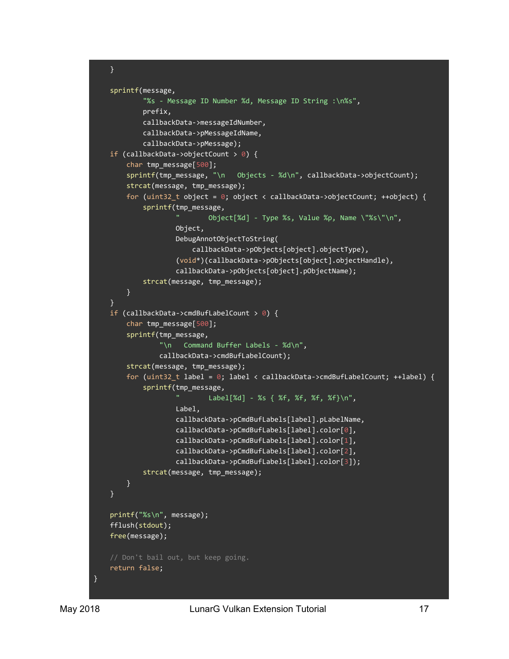```
 }
     sprintf(message,
             "%s - Message ID Number %d, Message ID String :\n%s",
             prefix,
             callbackData->messageIdNumber,
             callbackData->pMessageIdName,
             callbackData->pMessage);
    if (callbackData->objectCount > 0) {
         char tmp_message[500];
        sprintf(tmp_message, "\n Objects - %d\n", callbackData->objectCount);
         strcat(message, tmp_message);
        for (uint32_t object = 0; object < callbackData->objectCount; ++object) {
             sprintf(tmp_message,
                     " Object[%d] - Type %s, Value %p, Name \"%s\"\n",
                     Object,
                     DebugAnnotObjectToString(
                         callbackData->pObjects[object].objectType),
                     (void*)(callbackData->pObjects[object].objectHandle),
                     callbackData->pObjects[object].pObjectName);
             strcat(message, tmp_message);
         }
     }
     if (callbackData->cmdBufLabelCount > 0) {
         char tmp_message[500];
         sprintf(tmp_message,
                 "\n Command Buffer Labels - %d\n",
                 callbackData->cmdBufLabelCount);
         strcat(message, tmp_message);
        for (uint32_t label = 0; label < callbackData->cmdBufLabelCount; ++label) {
             sprintf(tmp_message,
                     " Label[%d] - %s { %f, %f, %f, %f}\n",
                     Label,
                     callbackData->pCmdBufLabels[label].pLabelName,
                     callbackData->pCmdBufLabels[label].color[0],
                     callbackData->pCmdBufLabels[label].color[1],
                     callbackData->pCmdBufLabels[label].color[2],
                     callbackData->pCmdBufLabels[label].color[3]);
             strcat(message, tmp_message);
         }
     }
     printf("%s\n", message);
     fflush(stdout);
     free(message);
     // Don't bail out, but keep going.
     return false;
}
```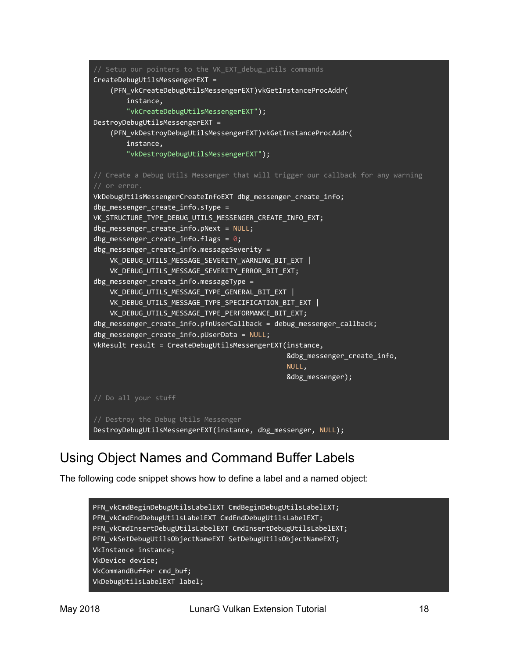```
// Setup our pointers to the VK_EXT_debug_utils commands
CreateDebugUtilsMessengerEXT =
     (PFN_vkCreateDebugUtilsMessengerEXT)vkGetInstanceProcAddr(
          instance,
          "vkCreateDebugUtilsMessengerEXT");
DestroyDebugUtilsMessengerEXT =
     (PFN_vkDestroyDebugUtilsMessengerEXT)vkGetInstanceProcAddr(
          instance,
          "vkDestroyDebugUtilsMessengerEXT");
// Create a Debug Utils Messenger that will trigger our callback for any warning
// or error.
VkDebugUtilsMessengerCreateInfoEXT dbg_messenger_create_info;
dbg messenger create info.sType =VK_STRUCTURE_TYPE_DEBUG_UTILS_MESSENGER_CREATE_INFO_EXT;
dbg messenger create info.pNext = NULL;dbg messenger create info.flags = 0;
dbg messenger create info.messageServerity = VK_DEBUG_UTILS_MESSAGE_SEVERITY_WARNING_BIT_EXT |
     VK_DEBUG_UTILS_MESSAGE_SEVERITY_ERROR_BIT_EXT;
dbg_messenger_create_info.messageType =
    VK_DEBUG_UTILS_MESSAGE_TYPE_GENERAL_BIT_EXT |
     VK_DEBUG_UTILS_MESSAGE_TYPE_SPECIFICATION_BIT_EXT |
    VK DEBUG UTILS MESSAGE TYPE PERFORMANCE BIT EXT;
dbg_messenger_create_info.pfnUserCallback = debug_messenger_callback;
dbg_messenger_create_info.pUserData = NULL;
VkResult result = CreateDebugUtilsMessengerEXT(instance,
                                                      &dbg_messenger_create_info,
and the contract of the contract of the contract of the contract of the contract of the contract of the contract of the contract of the contract of the contract of the contract of the contract of the contract of the contra
                                                      &dbg_messenger);
// Do all your stuff
// Destroy the Debug Utils Messenger
DestroyDebugUtilsMessengerEXT(instance, dbg_messenger, NULL);
```
### Using Object Names and Command Buffer Labels

The following code snippet shows how to define a label and a named object:

PFN\_vkCmdBeginDebugUtilsLabelEXT CmdBeginDebugUtilsLabelEXT; PFN\_vkCmdEndDebugUtilsLabelEXT CmdEndDebugUtilsLabelEXT; PFN\_vkCmdInsertDebugUtilsLabelEXT CmdInsertDebugUtilsLabelEXT; PFN\_vkSetDebugUtilsObjectNameEXT SetDebugUtilsObjectNameEXT; VkInstance instance; VkDevice device; VkCommandBuffer cmd\_buf; VkDebugUtilsLabelEXT label;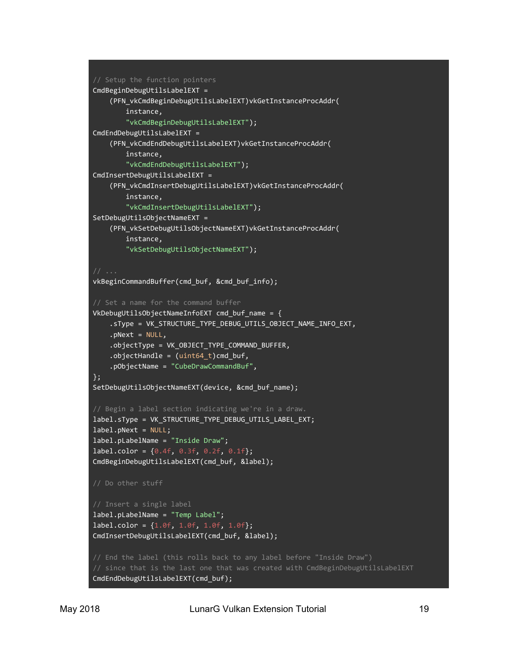```
// Setup the function pointers
CmdBeginDebugUtilsLabelEXT =
     (PFN_vkCmdBeginDebugUtilsLabelEXT)vkGetInstanceProcAddr(
         instance,
         "vkCmdBeginDebugUtilsLabelEXT");
CmdEndDebugUtilsLabelEXT =
     (PFN_vkCmdEndDebugUtilsLabelEXT)vkGetInstanceProcAddr(
         instance,
         "vkCmdEndDebugUtilsLabelEXT");
CmdInsertDebugUtilsLabelEXT =
     (PFN_vkCmdInsertDebugUtilsLabelEXT)vkGetInstanceProcAddr(
         instance,
         "vkCmdInsertDebugUtilsLabelEXT");
SetDebugUtilsObjectNameEXT =
     (PFN_vkSetDebugUtilsObjectNameEXT)vkGetInstanceProcAddr(
         instance,
         "vkSetDebugUtilsObjectNameEXT");
vkBeginCommandBuffer(cmd_buf, &cmd_buf_info);
VkDebugUtilsObjectNameInfoEXT cmd buf name = { .sType = VK_STRUCTURE_TYPE_DEBUG_UTILS_OBJECT_NAME_INFO_EXT,
     .pNext = NULL,
     .objectType = VK_OBJECT_TYPE_COMMAND_BUFFER,
    .objectHandle = (uint64_t)cmd_buf,
     .pObjectName = "CubeDrawCommandBuf",
};
SetDebugUtilsObjectNameEXT(device, &cmd_buf_name);
// Begin a label section indicating we're in a draw.
label.sType = VK_STRUCTURE_TYPE_DEBUG_UTILS_LABEL_EXT;
label.pNext = NULL;
label.pLabelName = "Inside Draw";
label.color = {0.4f, 0.3f, 0.2f, 0.1f};CmdBeginDebugUtilsLabelEXT(cmd_buf, &label);
// Do other stuff
// Insert a single label
label.pLabelName = "Temp Label";
label.color = {1.0f, 1.0f, 1.0f, 1.0f};
CmdInsertDebugUtilsLabelEXT(cmd_buf, &label);
// since that is the last one that was created with CmdBeginDebugUtilsLabelEXT
CmdEndDebugUtilsLabelEXT(cmd_buf);
```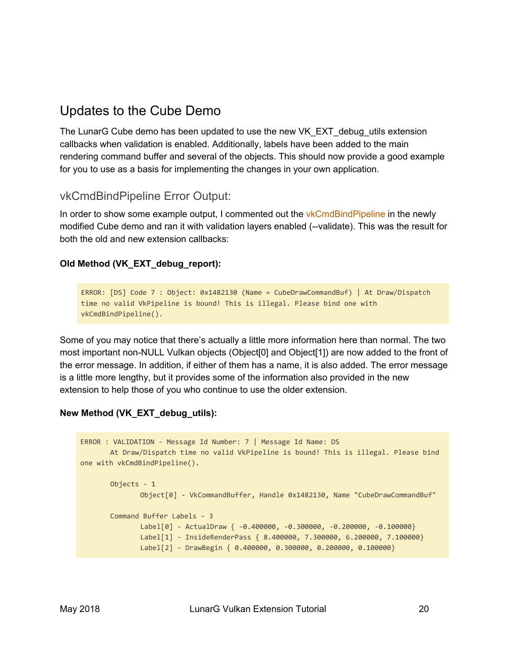#### Updates to the Cube Demo

The LunarG Cube demo has been updated to use the new VK\_EXT\_debug\_utils extension callbacks when validation is enabled. Additionally, labels have been added to the main rendering command buffer and several of the objects. This should now provide a good example for you to use as a basis for implementing the changes in your own application.

#### vkCmdBindPipeline Error Output:

In order to show some example output, I commented out the vkCmdBindPipeline in the newly modified Cube demo and ran it with validation layers enabled (--validate). This was the result for both the old and new extension callbacks:

#### **Old Method (VK\_EXT\_debug\_report):**

```
ERROR: [DS] Code 7 : Object: 0x1482130 (Name = CubeDrawCommandBuf) | At Draw/Dispatch
time no valid VkPipeline is bound! This is illegal. Please bind one with
vkCmdBindPipeline().
```
Some of you may notice that there's actually a little more information here than normal. The two most important non-NULL Vulkan objects (Object[0] and Object[1]) are now added to the front of the error message. In addition, if either of them has a name, it is also added. The error message is a little more lengthy, but it provides some of the information also provided in the new extension to help those of you who continue to use the older extension.

#### **New Method (VK\_EXT\_debug\_utils):**

```
ERROR : VALIDATION - Message Id Number: 7 | Message Id Name: DS
       At Draw/Dispatch time no valid VkPipeline is bound! This is illegal. Please bind
one with vkCmdBindPipeline().
       Objects - 1
              Object[0] - VkCommandBuffer, Handle 0x1482130, Name "CubeDrawCommandBuf"
       Command Buffer Labels - 3
              Label[0] - ActualDraw { -0.400000, -0.300000, -0.200000, -0.100000}
              Label[1] - InsideRenderPass { 8.400000, 7.300000, 6.200000, 7.100000}
              Label[2] - DrawBegin { 0.400000, 0.300000, 0.200000, 0.100000}
```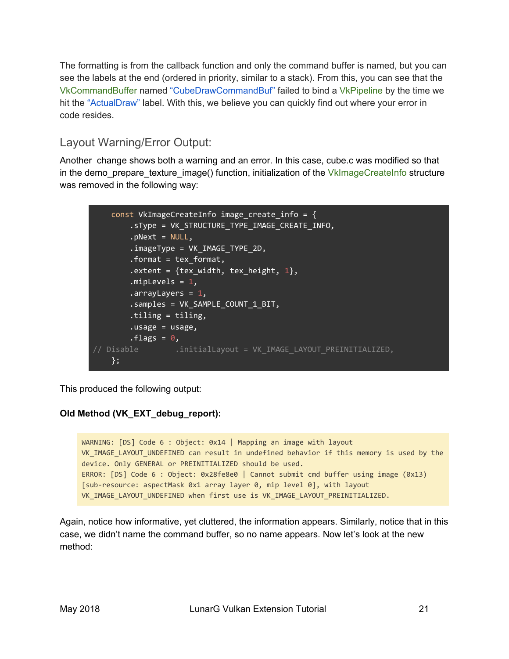The formatting is from the callback function and only the command buffer is named, but you can see the labels at the end (ordered in priority, similar to a stack). From this, you can see that the VkCommandBuffer named "CubeDrawCommandBuf" failed to bind a VkPipeline by the time we hit the "ActualDraw" label. With this, we believe you can quickly find out where your error in code resides.

#### Layout Warning/Error Output:

Another change shows both a warning and an error. In this case, cube.c was modified so that in the demo\_prepare\_texture\_image() function, initialization of the VkImageCreateInfo structure was removed in the following way:

```
const VkImageCreateInfo image_create_info = {
       .sType = VK_STRUCTURE_TYPE_IMAGE_CREATE_INFO,
       . pNext = NULL,
       .imageType = VK_IMAGE_TYPE_2D,
       .format = tex_format,
       .extent = \{tex_width, tex_height, 1},
       .mipLevels = 1,.arrayLayers = 1,
       .samples = VK_SAMPLE_COUNT_1_BIT,
       .tiling = tiling,
       .usage = usage,
       .flags = 0,
// Disable ..initialLayout = VK IMAGE LAYOUT PREINITIALIZED,
   };
```
This produced the following output:

#### **Old Method (VK\_EXT\_debug\_report):**

WARNING: [DS] Code 6 : Object: 0x14 | Mapping an image with layout VK\_IMAGE\_LAYOUT\_UNDEFINED can result in undefined behavior if this memory is used by the device. Only GENERAL or PREINITIALIZED should be used. ERROR: [DS] Code 6 : Object: 0x28fe8e0 | Cannot submit cmd buffer using image (0x13) [sub-resource: aspectMask 0x1 array layer 0, mip level 0], with layout VK IMAGE LAYOUT UNDEFINED when first use is VK IMAGE LAYOUT PREINITIALIZED.

Again, notice how informative, yet cluttered, the information appears. Similarly, notice that in this case, we didn't name the command buffer, so no name appears. Now let's look at the new method: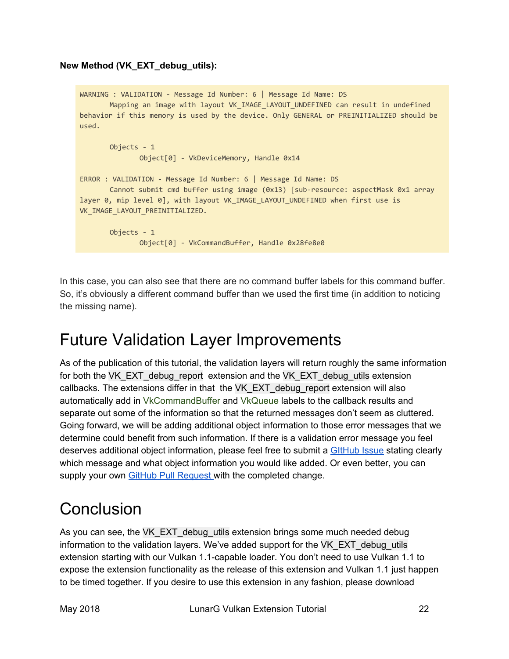#### **New Method (VK\_EXT\_debug\_utils):**

```
WARNING : VALIDATION - Message Id Number: 6 | Message Id Name: DS
       Mapping an image with layout VK_IMAGE_LAYOUT_UNDEFINED can result in undefined
behavior if this memory is used by the device. Only GENERAL or PREINITIALIZED should be
used.
       Objects - 1
              Object[0] - VkDeviceMemory, Handle 0x14
ERROR : VALIDATION - Message Id Number: 6 | Message Id Name: DS
       Cannot submit cmd buffer using image (0x13) [sub-resource: aspectMask 0x1 array
layer 0, mip level 0], with layout VK_IMAGE_LAYOUT_UNDEFINED when first use is
VK_IMAGE_LAYOUT_PREINITIALIZED.
       Objects - 1
              Object[0] - VkCommandBuffer, Handle 0x28fe8e0
```
In this case, you can also see that there are no command buffer labels for this command buffer. So, it's obviously a different command buffer than we used the first time (in addition to noticing the missing name).

## Future Validation Layer Improvements

As of the publication of this tutorial, the validation layers will return roughly the same information for both the VK\_EXT\_debug\_report extension and the VK\_EXT\_debug\_utils extension callbacks. The extensions differ in that the VK\_EXT\_debug\_report extension will also automatically add in VkCommandBuffer and VkQueue labels to the callback results and separate out some of the information so that the returned messages don't seem as cluttered. Going forward, we will be adding additional object information to those error messages that we determine could benefit from such information. If there is a validation error message you feel deserves additional object information, please feel free to submit a [GItHub](https://github.com/KhronosGroup/Vulkan-LoaderAndValidationLayers/issues) Issue stating clearly which message and what object information you would like added. Or even better, you can supply your own **GitHub Pull [Request](https://github.com/KhronosGroup/Vulkan-LoaderAndValidationLayers/pulls)** with the completed change.

## **Conclusion**

As you can see, the VK\_EXT\_debug\_utils extension brings some much needed debug information to the validation layers. We've added support for the VK\_EXT\_debug\_utils extension starting with our Vulkan 1.1-capable loader. You don't need to use Vulkan 1.1 to expose the extension functionality as the release of this extension and Vulkan 1.1 just happen to be timed together. If you desire to use this extension in any fashion, please download